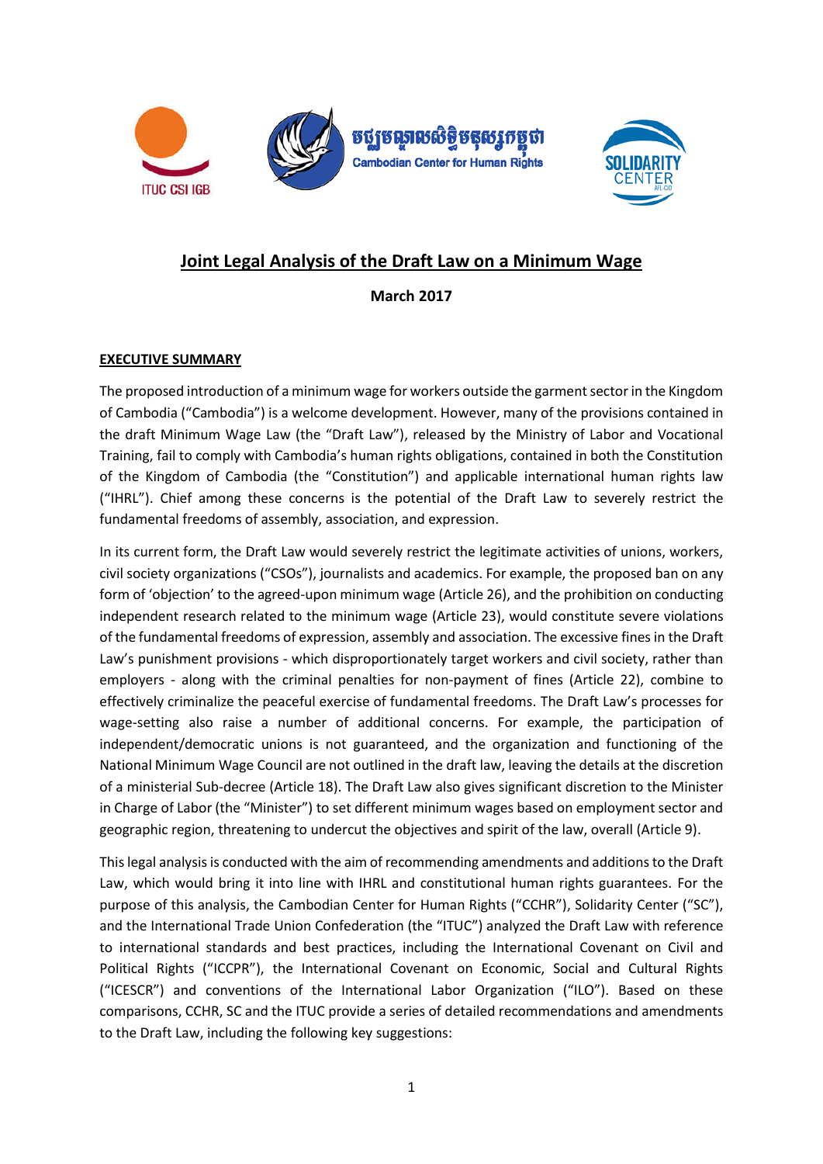

# **Joint Legal Analysis of the Draft Law on a Minimum Wage**

**March 2017**

## **EXECUTIVE SUMMARY**

The proposed introduction of a minimum wage for workers outside the garment sector in the Kingdom of Cambodia ("Cambodia") is a welcome development. However, many of the provisions contained in the draft Minimum Wage Law (the "Draft Law"), released by the Ministry of Labor and Vocational Training, fail to comply with Cambodia's human rights obligations, contained in both the Constitution of the Kingdom of Cambodia (the "Constitution") and applicable international human rights law ("IHRL"). Chief among these concerns is the potential of the Draft Law to severely restrict the fundamental freedoms of assembly, association, and expression.

In its current form, the Draft Law would severely restrict the legitimate activities of unions, workers, civil society organizations ("CSOs"), journalists and academics. For example, the proposed ban on any form of 'objection' to the agreed-upon minimum wage (Article 26), and the prohibition on conducting independent research related to the minimum wage (Article 23), would constitute severe violations of the fundamental freedoms of expression, assembly and association. The excessive fines in the Draft Law's punishment provisions - which disproportionately target workers and civil society, rather than employers - along with the criminal penalties for non-payment of fines (Article 22), combine to effectively criminalize the peaceful exercise of fundamental freedoms. The Draft Law's processes for wage-setting also raise a number of additional concerns. For example, the participation of independent/democratic unions is not guaranteed, and the organization and functioning of the National Minimum Wage Council are not outlined in the draft law, leaving the details at the discretion of a ministerial Sub-decree (Article 18). The Draft Law also gives significant discretion to the Minister in Charge of Labor (the "Minister") to set different minimum wages based on employment sector and geographic region, threatening to undercut the objectives and spirit of the law, overall (Article 9).

This legal analysis is conducted with the aim of recommending amendments and additions to the Draft Law, which would bring it into line with IHRL and constitutional human rights guarantees. For the purpose of this analysis, the Cambodian Center for Human Rights ("CCHR"), Solidarity Center ("SC"), and the International Trade Union Confederation (the "ITUC") analyzed the Draft Law with reference to international standards and best practices, including the International Covenant on Civil and Political Rights ("ICCPR"), the International Covenant on Economic, Social and Cultural Rights ("ICESCR") and conventions of the International Labor Organization ("ILO"). Based on these comparisons, CCHR, SC and the ITUC provide a series of detailed recommendations and amendments to the Draft Law, including the following key suggestions: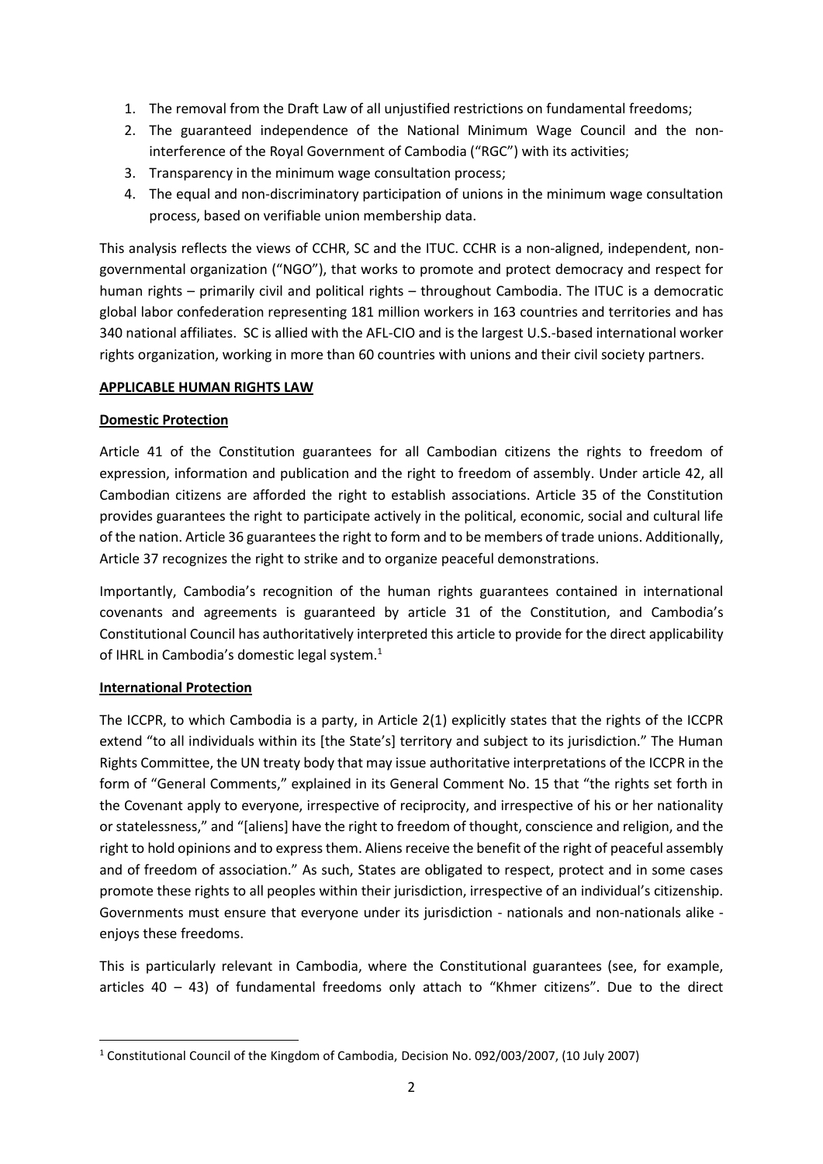- 1. The removal from the Draft Law of all unjustified restrictions on fundamental freedoms;
- 2. The guaranteed independence of the National Minimum Wage Council and the noninterference of the Royal Government of Cambodia ("RGC") with its activities;
- 3. Transparency in the minimum wage consultation process;
- 4. The equal and non-discriminatory participation of unions in the minimum wage consultation process, based on verifiable union membership data.

This analysis reflects the views of CCHR, SC and the ITUC. CCHR is a non-aligned, independent, nongovernmental organization ("NGO"), that works to promote and protect democracy and respect for human rights – primarily civil and political rights – throughout Cambodia. The ITUC is a democratic global labor confederation representing 181 million workers in 163 countries and territories and has 340 national affiliates. SC is allied with the AFL-CIO and is the largest U.S.-based international worker rights organization, working in more than 60 countries with unions and their civil society partners.

#### **APPLICABLE HUMAN RIGHTS LAW**

## **Domestic Protection**

Article 41 of the Constitution guarantees for all Cambodian citizens the rights to freedom of expression, information and publication and the right to freedom of assembly. Under article 42, all Cambodian citizens are afforded the right to establish associations. Article 35 of the Constitution provides guarantees the right to participate actively in the political, economic, social and cultural life of the nation. Article 36 guarantees the right to form and to be members of trade unions. Additionally, Article 37 recognizes the right to strike and to organize peaceful demonstrations.

Importantly, Cambodia's recognition of the human rights guarantees contained in international covenants and agreements is guaranteed by article 31 of the Constitution, and Cambodia's Constitutional Council has authoritatively interpreted this article to provide for the direct applicability of IHRL in Cambodia's domestic legal system. $<sup>1</sup>$ </sup>

## **International Protection**

The ICCPR, to which Cambodia is a party, in Article 2(1) explicitly states that the rights of the ICCPR extend "to all individuals within its [the State's] territory and subject to its jurisdiction." The Human Rights Committee, the UN treaty body that may issue authoritative interpretations of the ICCPR in the form of "General Comments," explained in its General Comment No. 15 that "the rights set forth in the Covenant apply to everyone, irrespective of reciprocity, and irrespective of his or her nationality or statelessness," and "[aliens] have the right to freedom of thought, conscience and religion, and the right to hold opinions and to express them. Aliens receive the benefit of the right of peaceful assembly and of freedom of association." As such, States are obligated to respect, protect and in some cases promote these rights to all peoples within their jurisdiction, irrespective of an individual's citizenship. Governments must ensure that everyone under its jurisdiction - nationals and non-nationals alike enjoys these freedoms.

This is particularly relevant in Cambodia, where the Constitutional guarantees (see, for example, articles 40 – 43) of fundamental freedoms only attach to "Khmer citizens". Due to the direct

**<sup>.</sup>** <sup>1</sup> Constitutional Council of the Kingdom of Cambodia, Decision No. 092/003/2007, (10 July 2007)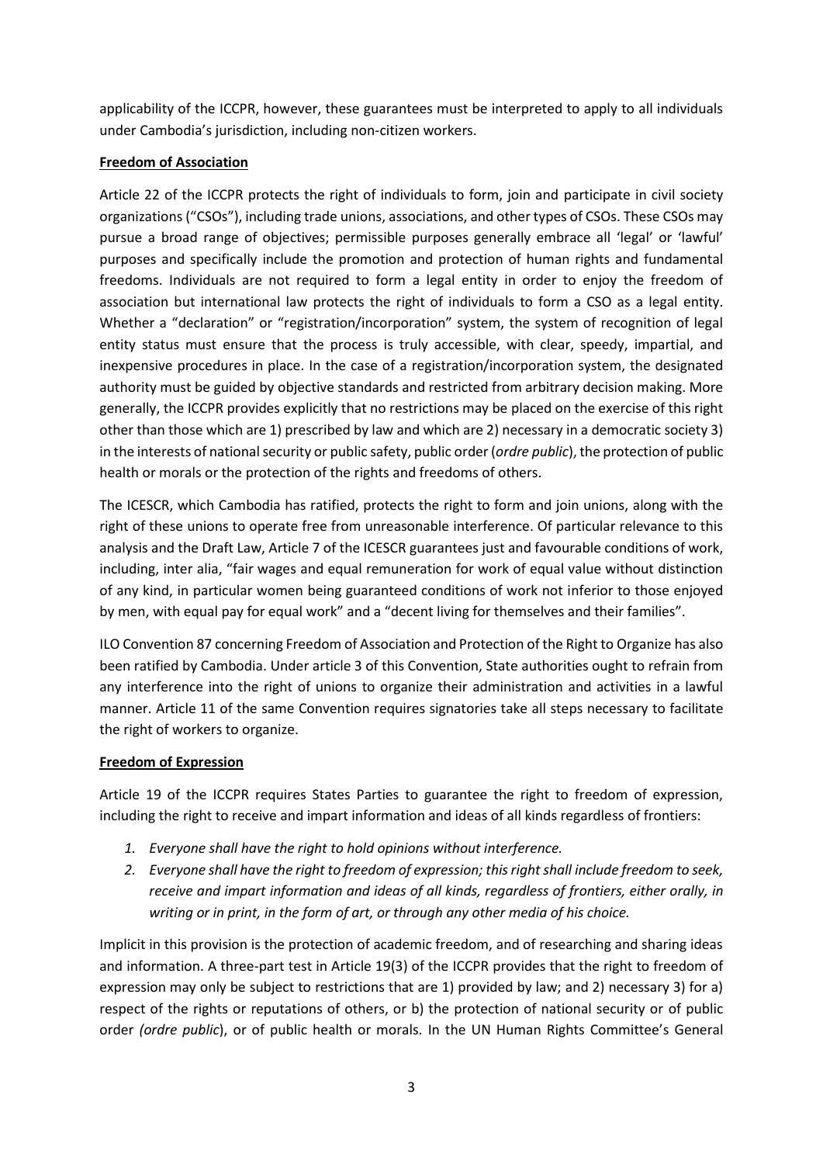applicability of the ICCPR, however, these guarantees must be interpreted to apply to all individuals under Cambodia's jurisdiction, including non-citizen workers.

## **Freedom of Association**

Article 22 of the ICCPR protects the right of individuals to form, join and participate in civil society organizations ("CSOs"), including trade unions, associations, and other types of CSOs. These CSOs may pursue a broad range of objectives; permissible purposes generally embrace all 'legal' or 'lawful' purposes and specifically include the promotion and protection of human rights and fundamental freedoms. Individuals are not required to form a legal entity in order to enjoy the freedom of association but international law protects the right of individuals to form a CSO as a legal entity. Whether a "declaration" or "registration/incorporation" system, the system of recognition of legal entity status must ensure that the process is truly accessible, with clear, speedy, impartial, and inexpensive procedures in place. In the case of a registration/incorporation system, the designated authority must be guided by objective standards and restricted from arbitrary decision making. More generally, the ICCPR provides explicitly that no restrictions may be placed on the exercise of this right other than those which are 1) prescribed by law and which are 2) necessary in a democratic society 3) in the interests of national security or public safety, public order (*ordre public*), the protection of public health or morals or the protection of the rights and freedoms of others.

The ICESCR, which Cambodia has ratified, protects the right to form and join unions, along with the right of these unions to operate free from unreasonable interference. Of particular relevance to this analysis and the Draft Law, Article 7 of the ICESCR guarantees just and favourable conditions of work, including, inter alia, "fair wages and equal remuneration for work of equal value without distinction of any kind, in particular women being guaranteed conditions of work not inferior to those enjoyed by men, with equal pay for equal work" and a "decent living for themselves and their families".

ILO Convention 87 concerning Freedom of Association and Protection of the Right to Organize has also been ratified by Cambodia. Under article 3 of this Convention, State authorities ought to refrain from any interference into the right of unions to organize their administration and activities in a lawful manner. Article 11 of the same Convention requires signatories take all steps necessary to facilitate the right of workers to organize.

## **Freedom of Expression**

Article 19 of the ICCPR requires States Parties to guarantee the right to freedom of expression, including the right to receive and impart information and ideas of all kinds regardless of frontiers:

- *1. Everyone shall have the right to hold opinions without interference.*
- *2. Everyone shall have the right to freedom of expression; this right shall include freedom to seek, receive and impart information and ideas of all kinds, regardless of frontiers, either orally, in writing or in print, in the form of art, or through any other media of his choice.*

Implicit in this provision is the protection of academic freedom, and of researching and sharing ideas and information. A three-part test in Article 19(3) of the ICCPR provides that the right to freedom of expression may only be subject to restrictions that are 1) provided by law; and 2) necessary 3) for a) respect of the rights or reputations of others, or b) the protection of national security or of public order *(ordre public*), or of public health or morals. In the UN Human Rights Committee's General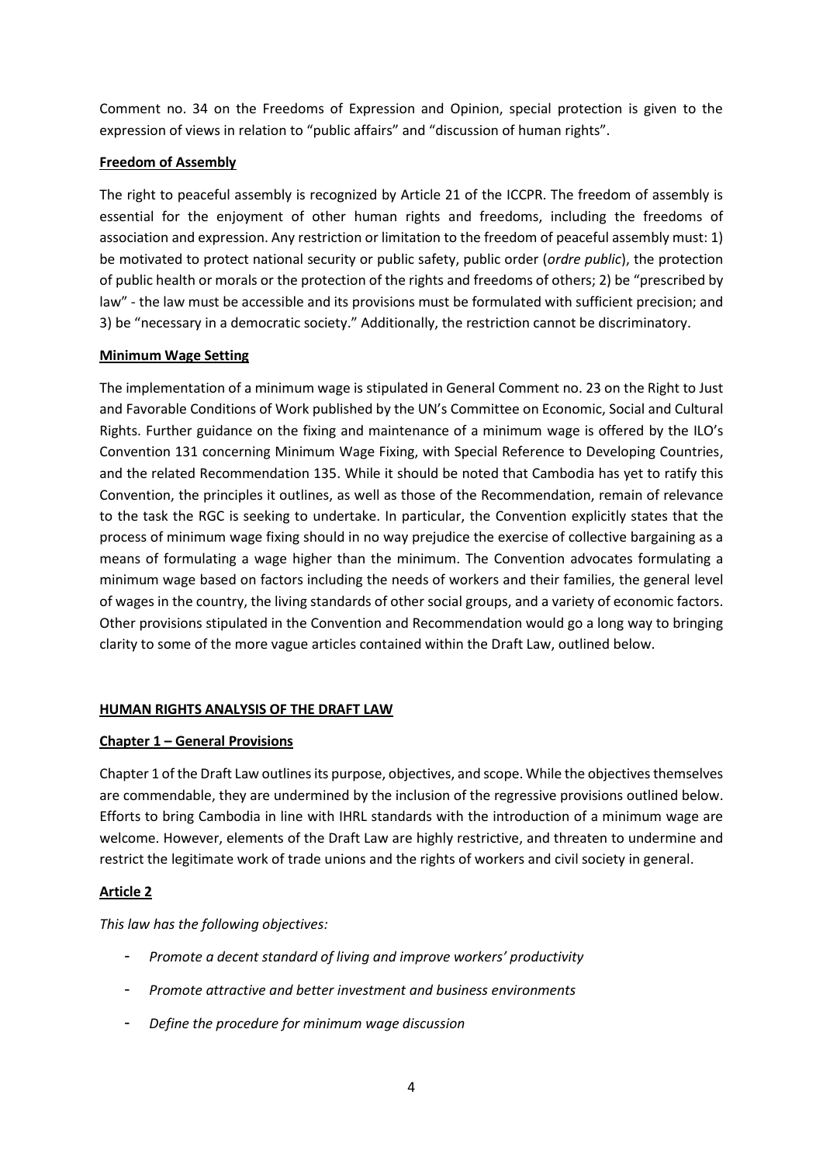Comment no. 34 on the Freedoms of Expression and Opinion, special protection is given to the expression of views in relation to "public affairs" and "discussion of human rights".

## **Freedom of Assembly**

The right to peaceful assembly is recognized by Article 21 of the ICCPR. The freedom of assembly is essential for the enjoyment of other human rights and freedoms, including the freedoms of association and expression. Any restriction or limitation to the freedom of peaceful assembly must: 1) be motivated to protect national security or public safety, public order (*ordre public*), the protection of public health or morals or the protection of the rights and freedoms of others; 2) be "prescribed by law" - the law must be accessible and its provisions must be formulated with sufficient precision; and 3) be "necessary in a democratic society." Additionally, the restriction cannot be discriminatory.

## **Minimum Wage Setting**

The implementation of a minimum wage is stipulated in General Comment no. 23 on the Right to Just and Favorable Conditions of Work published by the UN's Committee on Economic, Social and Cultural Rights. Further guidance on the fixing and maintenance of a minimum wage is offered by the ILO's Convention 131 concerning Minimum Wage Fixing, with Special Reference to Developing Countries, and the related Recommendation 135. While it should be noted that Cambodia has yet to ratify this Convention, the principles it outlines, as well as those of the Recommendation, remain of relevance to the task the RGC is seeking to undertake. In particular, the Convention explicitly states that the process of minimum wage fixing should in no way prejudice the exercise of collective bargaining as a means of formulating a wage higher than the minimum. The Convention advocates formulating a minimum wage based on factors including the needs of workers and their families, the general level of wages in the country, the living standards of other social groups, and a variety of economic factors. Other provisions stipulated in the Convention and Recommendation would go a long way to bringing clarity to some of the more vague articles contained within the Draft Law, outlined below.

## **HUMAN RIGHTS ANALYSIS OF THE DRAFT LAW**

## **Chapter 1 – General Provisions**

Chapter 1 of the Draft Law outlines its purpose, objectives, and scope. While the objectives themselves are commendable, they are undermined by the inclusion of the regressive provisions outlined below. Efforts to bring Cambodia in line with IHRL standards with the introduction of a minimum wage are welcome. However, elements of the Draft Law are highly restrictive, and threaten to undermine and restrict the legitimate work of trade unions and the rights of workers and civil society in general.

## **Article 2**

*This law has the following objectives:*

- *Promote a decent standard of living and improve workers' productivity*
- *Promote attractive and better investment and business environments*
- *Define the procedure for minimum wage discussion*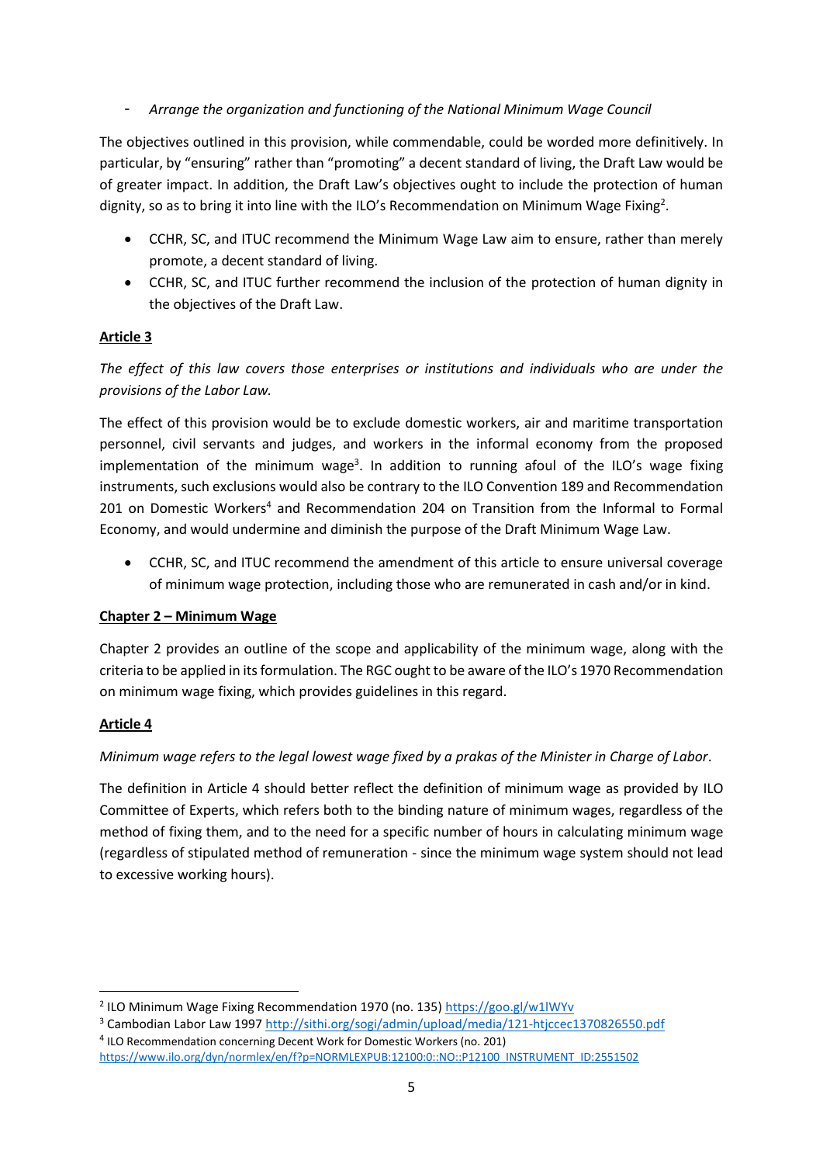- *Arrange the organization and functioning of the National Minimum Wage Council*

The objectives outlined in this provision, while commendable, could be worded more definitively. In particular, by "ensuring" rather than "promoting" a decent standard of living, the Draft Law would be of greater impact. In addition, the Draft Law's objectives ought to include the protection of human dignity, so as to bring it into line with the ILO's Recommendation on Minimum Wage Fixing<sup>2</sup>.

- CCHR, SC, and ITUC recommend the Minimum Wage Law aim to ensure, rather than merely promote, a decent standard of living.
- CCHR, SC, and ITUC further recommend the inclusion of the protection of human dignity in the objectives of the Draft Law.

## **Article 3**

*The effect of this law covers those enterprises or institutions and individuals who are under the provisions of the Labor Law.*

The effect of this provision would be to exclude domestic workers, air and maritime transportation personnel, civil servants and judges, and workers in the informal economy from the proposed implementation of the minimum wage<sup>3</sup>. In addition to running afoul of the ILO's wage fixing instruments, such exclusions would also be contrary to the ILO Convention 189 and Recommendation 201 on Domestic Workers<sup>4</sup> and Recommendation 204 on Transition from the Informal to Formal Economy, and would undermine and diminish the purpose of the Draft Minimum Wage Law.

 CCHR, SC, and ITUC recommend the amendment of this article to ensure universal coverage of minimum wage protection, including those who are remunerated in cash and/or in kind.

## **Chapter 2 – Minimum Wage**

Chapter 2 provides an outline of the scope and applicability of the minimum wage, along with the criteria to be applied in its formulation. The RGC ought to be aware of the ILO's 1970 Recommendation on minimum wage fixing, which provides guidelines in this regard.

## **Article 4**

1

## *Minimum wage refers to the legal lowest wage fixed by a prakas of the Minister in Charge of Labor*.

The definition in Article 4 should better reflect the definition of minimum wage as provided by ILO Committee of Experts, which refers both to the binding nature of minimum wages, regardless of the method of fixing them, and to the need for a specific number of hours in calculating minimum wage (regardless of stipulated method of remuneration - since the minimum wage system should not lead to excessive working hours).

<sup>&</sup>lt;sup>2</sup> ILO Minimum Wage Fixing Recommendation 1970 (no. 135)<https://goo.gl/w1lWYv>

<sup>3</sup> Cambodian Labor Law 1997<http://sithi.org/sogi/admin/upload/media/121-htjccec1370826550.pdf> <sup>4</sup> ILO Recommendation concerning Decent Work for Domestic Workers (no. 201)

[https://www.ilo.org/dyn/normlex/en/f?p=NORMLEXPUB:12100:0::NO::P12100\\_INSTRUMENT\\_ID:2551502](https://www.ilo.org/dyn/normlex/en/f?p=NORMLEXPUB:12100:0::NO::P12100_INSTRUMENT_ID:2551502)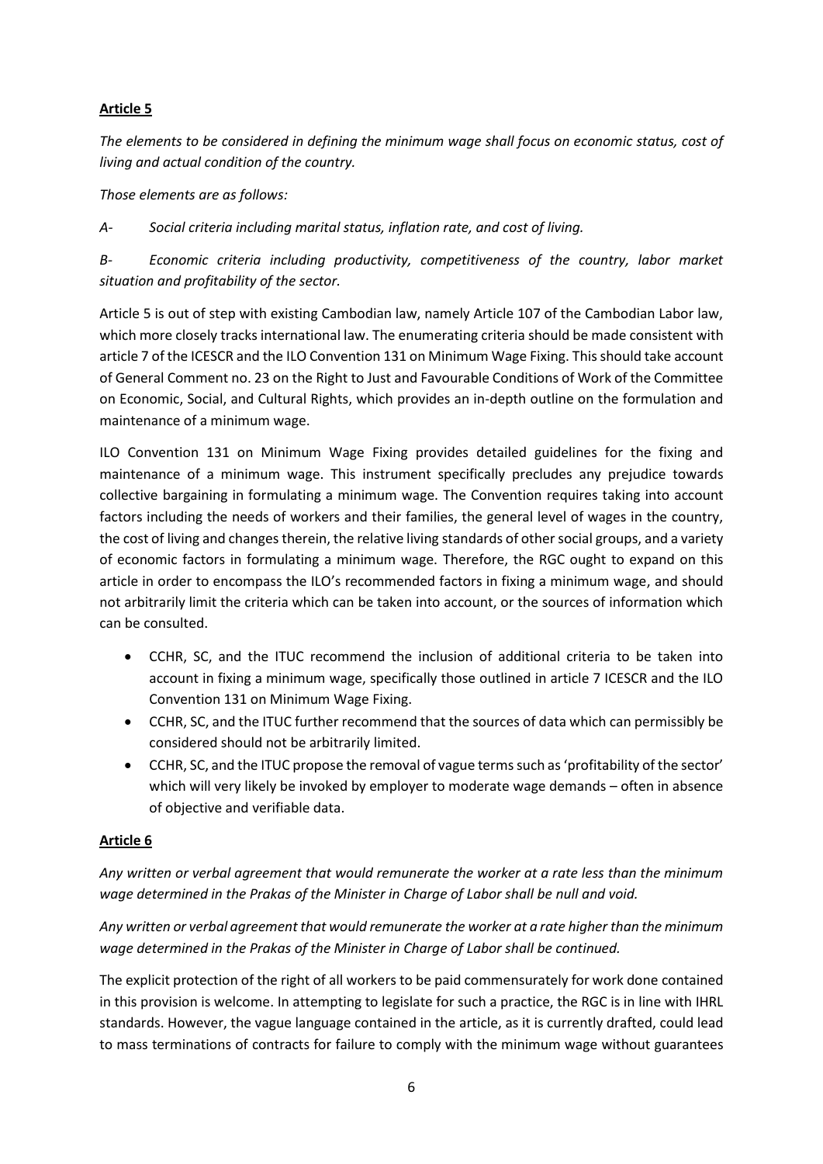*The elements to be considered in defining the minimum wage shall focus on economic status, cost of living and actual condition of the country.*

*Those elements are as follows:*

*A- Social criteria including marital status, inflation rate, and cost of living.*

*B- Economic criteria including productivity, competitiveness of the country, labor market situation and profitability of the sector.*

Article 5 is out of step with existing Cambodian law, namely Article 107 of the Cambodian Labor law, which more closely tracks international law. The enumerating criteria should be made consistent with article 7 of the ICESCR and the ILO Convention 131 on Minimum Wage Fixing. This should take account of General Comment no. 23 on the Right to Just and Favourable Conditions of Work of the Committee on Economic, Social, and Cultural Rights, which provides an in-depth outline on the formulation and maintenance of a minimum wage.

ILO Convention 131 on Minimum Wage Fixing provides detailed guidelines for the fixing and maintenance of a minimum wage. This instrument specifically precludes any prejudice towards collective bargaining in formulating a minimum wage. The Convention requires taking into account factors including the needs of workers and their families, the general level of wages in the country, the cost of living and changes therein, the relative living standards of other social groups, and a variety of economic factors in formulating a minimum wage. Therefore, the RGC ought to expand on this article in order to encompass the ILO's recommended factors in fixing a minimum wage, and should not arbitrarily limit the criteria which can be taken into account, or the sources of information which can be consulted.

- CCHR, SC, and the ITUC recommend the inclusion of additional criteria to be taken into account in fixing a minimum wage, specifically those outlined in article 7 ICESCR and the ILO Convention 131 on Minimum Wage Fixing.
- CCHR, SC, and the ITUC further recommend that the sources of data which can permissibly be considered should not be arbitrarily limited.
- CCHR, SC, and the ITUC propose the removal of vague terms such as 'profitability of the sector' which will very likely be invoked by employer to moderate wage demands – often in absence of objective and verifiable data.

## **Article 6**

*Any written or verbal agreement that would remunerate the worker at a rate less than the minimum wage determined in the Prakas of the Minister in Charge of Labor shall be null and void.*

*Any written or verbal agreement that would remunerate the worker at a rate higher than the minimum wage determined in the Prakas of the Minister in Charge of Labor shall be continued.*

The explicit protection of the right of all workers to be paid commensurately for work done contained in this provision is welcome. In attempting to legislate for such a practice, the RGC is in line with IHRL standards. However, the vague language contained in the article, as it is currently drafted, could lead to mass terminations of contracts for failure to comply with the minimum wage without guarantees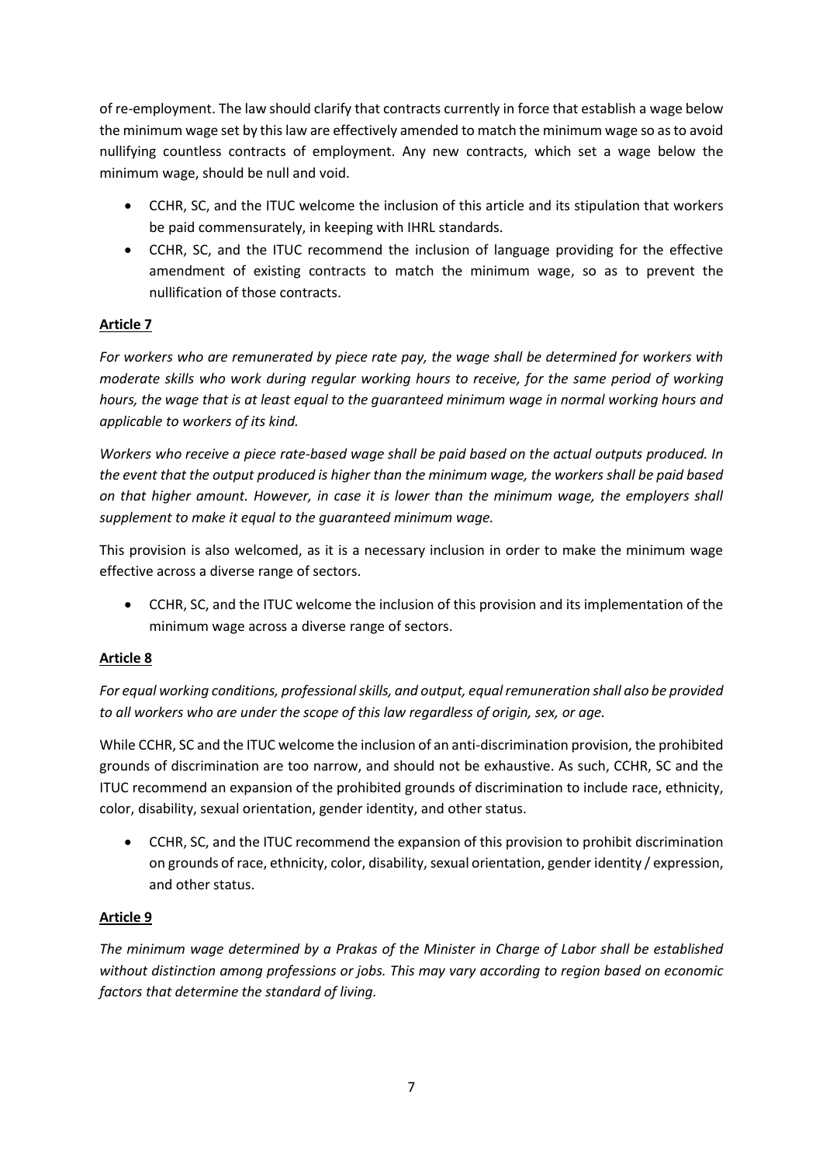of re-employment. The law should clarify that contracts currently in force that establish a wage below the minimum wage set by this law are effectively amended to match the minimum wage so as to avoid nullifying countless contracts of employment. Any new contracts, which set a wage below the minimum wage, should be null and void.

- CCHR, SC, and the ITUC welcome the inclusion of this article and its stipulation that workers be paid commensurately, in keeping with IHRL standards.
- CCHR, SC, and the ITUC recommend the inclusion of language providing for the effective amendment of existing contracts to match the minimum wage, so as to prevent the nullification of those contracts.

## **Article 7**

*For workers who are remunerated by piece rate pay, the wage shall be determined for workers with moderate skills who work during regular working hours to receive, for the same period of working hours, the wage that is at least equal to the guaranteed minimum wage in normal working hours and applicable to workers of its kind.*

*Workers who receive a piece rate-based wage shall be paid based on the actual outputs produced. In the event that the output produced is higher than the minimum wage, the workers shall be paid based on that higher amount. However, in case it is lower than the minimum wage, the employers shall supplement to make it equal to the guaranteed minimum wage.*

This provision is also welcomed, as it is a necessary inclusion in order to make the minimum wage effective across a diverse range of sectors.

 CCHR, SC, and the ITUC welcome the inclusion of this provision and its implementation of the minimum wage across a diverse range of sectors.

## **Article 8**

*For equal working conditions, professional skills, and output, equal remuneration shall also be provided to all workers who are under the scope of this law regardless of origin, sex, or age.*

While CCHR, SC and the ITUC welcome the inclusion of an anti-discrimination provision, the prohibited grounds of discrimination are too narrow, and should not be exhaustive. As such, CCHR, SC and the ITUC recommend an expansion of the prohibited grounds of discrimination to include race, ethnicity, color, disability, sexual orientation, gender identity, and other status.

 CCHR, SC, and the ITUC recommend the expansion of this provision to prohibit discrimination on grounds of race, ethnicity, color, disability, sexual orientation, gender identity / expression, and other status.

## **Article 9**

*The minimum wage determined by a Prakas of the Minister in Charge of Labor shall be established without distinction among professions or jobs. This may vary according to region based on economic factors that determine the standard of living.*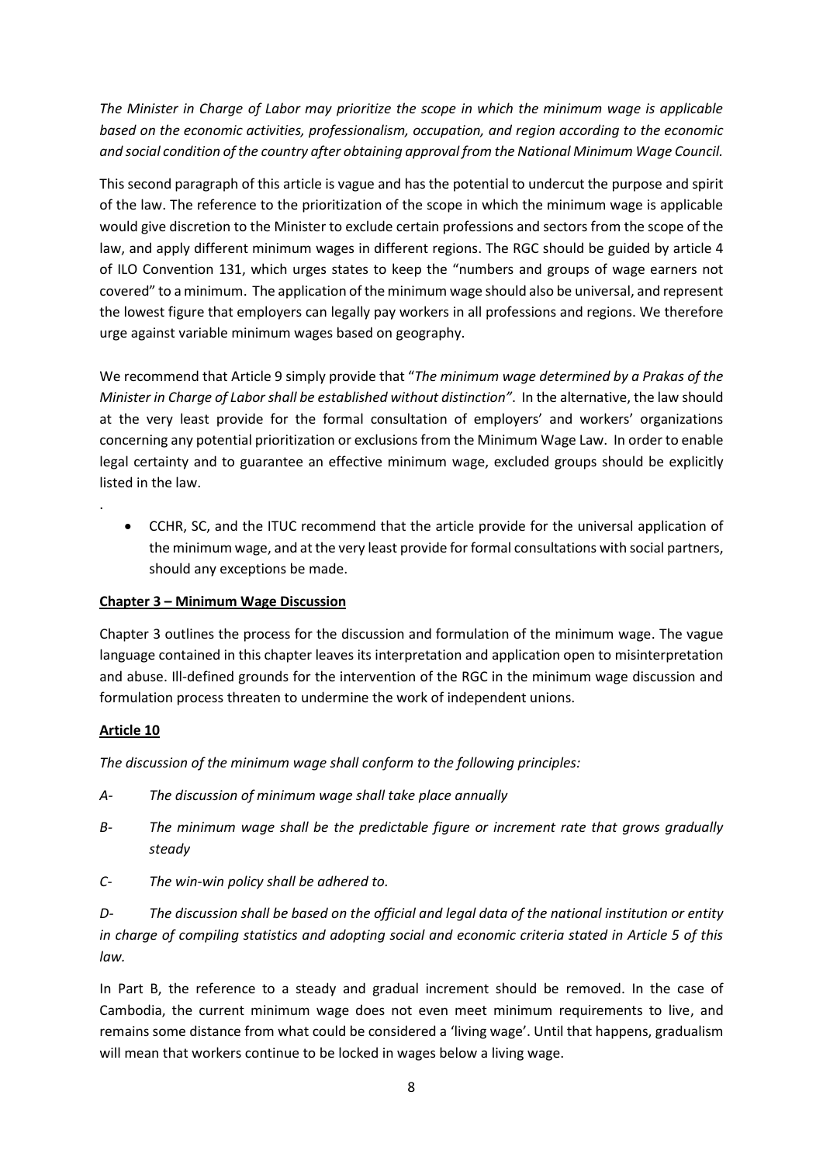*The Minister in Charge of Labor may prioritize the scope in which the minimum wage is applicable based on the economic activities, professionalism, occupation, and region according to the economic and social condition of the country after obtaining approval from the National Minimum Wage Council.*

This second paragraph of this article is vague and has the potential to undercut the purpose and spirit of the law. The reference to the prioritization of the scope in which the minimum wage is applicable would give discretion to the Minister to exclude certain professions and sectors from the scope of the law, and apply different minimum wages in different regions. The RGC should be guided by article 4 of ILO Convention 131, which urges states to keep the "numbers and groups of wage earners not covered" to a minimum. The application of the minimum wage should also be universal, and represent the lowest figure that employers can legally pay workers in all professions and regions. We therefore urge against variable minimum wages based on geography.

We recommend that Article 9 simply provide that "*The minimum wage determined by a Prakas of the Minister in Charge of Labor shall be established without distinction"*. In the alternative, the law should at the very least provide for the formal consultation of employers' and workers' organizations concerning any potential prioritization or exclusions from the Minimum Wage Law. In order to enable legal certainty and to guarantee an effective minimum wage, excluded groups should be explicitly listed in the law.

 CCHR, SC, and the ITUC recommend that the article provide for the universal application of the minimum wage, and at the very least provide for formal consultations with social partners, should any exceptions be made.

## **Chapter 3 – Minimum Wage Discussion**

Chapter 3 outlines the process for the discussion and formulation of the minimum wage. The vague language contained in this chapter leaves its interpretation and application open to misinterpretation and abuse. Ill-defined grounds for the intervention of the RGC in the minimum wage discussion and formulation process threaten to undermine the work of independent unions.

## **Article 10**

.

*The discussion of the minimum wage shall conform to the following principles:*

- *A- The discussion of minimum wage shall take place annually*
- *B- The minimum wage shall be the predictable figure or increment rate that grows gradually steady*
- *C- The win-win policy shall be adhered to.*

*D- The discussion shall be based on the official and legal data of the national institution or entity in charge of compiling statistics and adopting social and economic criteria stated in Article 5 of this law.*

In Part B, the reference to a steady and gradual increment should be removed. In the case of Cambodia, the current minimum wage does not even meet minimum requirements to live, and remains some distance from what could be considered a 'living wage'. Until that happens, gradualism will mean that workers continue to be locked in wages below a living wage.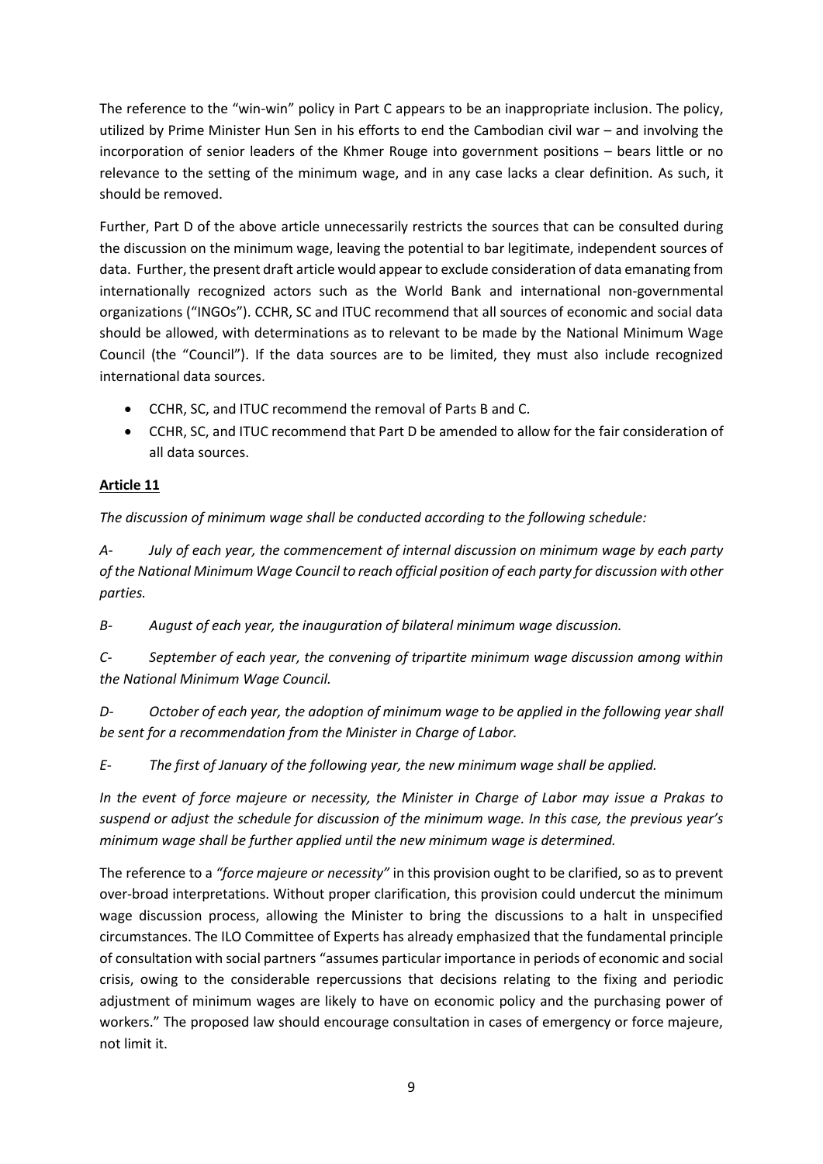The reference to the "win-win" policy in Part C appears to be an inappropriate inclusion. The policy, utilized by Prime Minister Hun Sen in his efforts to end the Cambodian civil war – and involving the incorporation of senior leaders of the Khmer Rouge into government positions – bears little or no relevance to the setting of the minimum wage, and in any case lacks a clear definition. As such, it should be removed.

Further, Part D of the above article unnecessarily restricts the sources that can be consulted during the discussion on the minimum wage, leaving the potential to bar legitimate, independent sources of data. Further, the present draft article would appear to exclude consideration of data emanating from internationally recognized actors such as the World Bank and international non-governmental organizations ("INGOs"). CCHR, SC and ITUC recommend that all sources of economic and social data should be allowed, with determinations as to relevant to be made by the National Minimum Wage Council (the "Council"). If the data sources are to be limited, they must also include recognized international data sources.

- CCHR, SC, and ITUC recommend the removal of Parts B and C.
- CCHR, SC, and ITUC recommend that Part D be amended to allow for the fair consideration of all data sources.

## **Article 11**

*The discussion of minimum wage shall be conducted according to the following schedule:*

*A- July of each year, the commencement of internal discussion on minimum wage by each party of the National Minimum Wage Council to reach official position of each party for discussion with other parties.*

*B- August of each year, the inauguration of bilateral minimum wage discussion.*

*C- September of each year, the convening of tripartite minimum wage discussion among within the National Minimum Wage Council.*

*D- October of each year, the adoption of minimum wage to be applied in the following year shall be sent for a recommendation from the Minister in Charge of Labor.*

*E- The first of January of the following year, the new minimum wage shall be applied.*

*In the event of force majeure or necessity, the Minister in Charge of Labor may issue a Prakas to suspend or adjust the schedule for discussion of the minimum wage. In this case, the previous year's minimum wage shall be further applied until the new minimum wage is determined.*

The reference to a *"force majeure or necessity"* in this provision ought to be clarified, so as to prevent over-broad interpretations. Without proper clarification, this provision could undercut the minimum wage discussion process, allowing the Minister to bring the discussions to a halt in unspecified circumstances. The ILO Committee of Experts has already emphasized that the fundamental principle of consultation with social partners "assumes particular importance in periods of economic and social crisis, owing to the considerable repercussions that decisions relating to the fixing and periodic adjustment of minimum wages are likely to have on economic policy and the purchasing power of workers." The proposed law should encourage consultation in cases of emergency or force majeure, not limit it.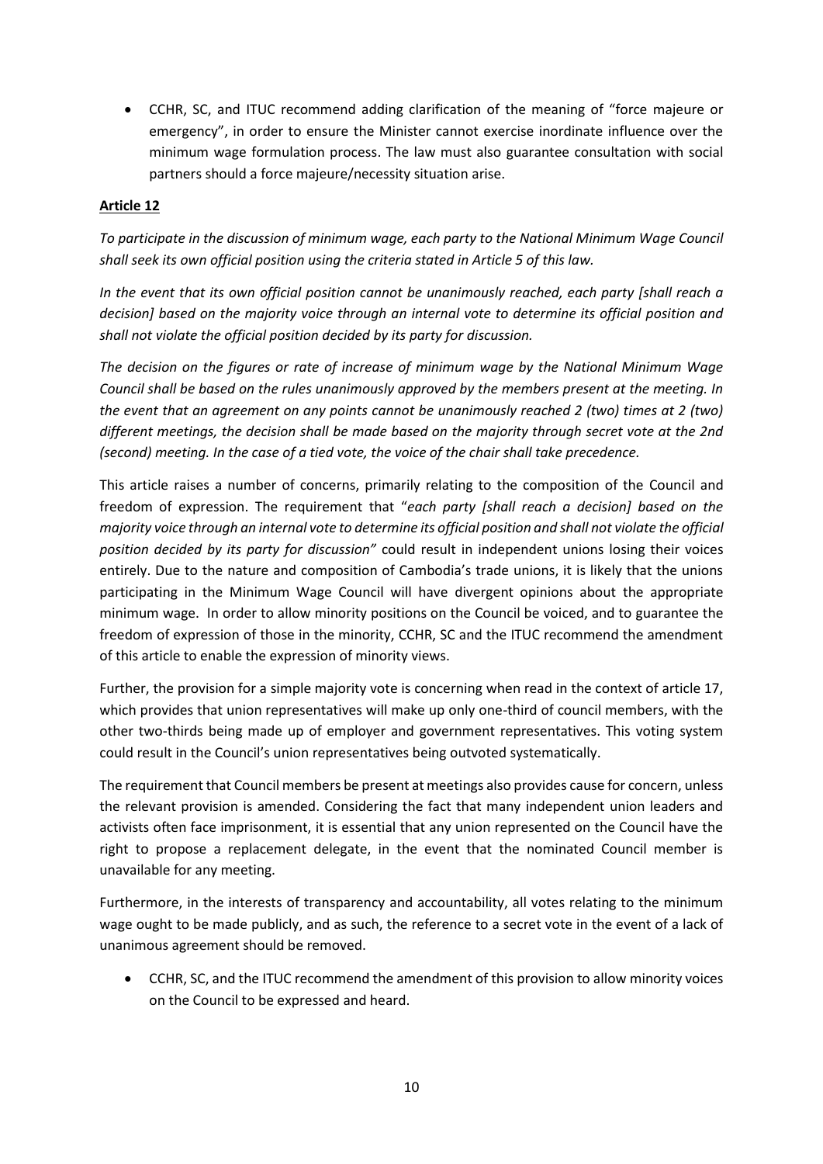CCHR, SC, and ITUC recommend adding clarification of the meaning of "force majeure or emergency", in order to ensure the Minister cannot exercise inordinate influence over the minimum wage formulation process. The law must also guarantee consultation with social partners should a force majeure/necessity situation arise.

## **Article 12**

*To participate in the discussion of minimum wage, each party to the National Minimum Wage Council shall seek its own official position using the criteria stated in Article 5 of this law.*

*In the event that its own official position cannot be unanimously reached, each party [shall reach a decision] based on the majority voice through an internal vote to determine its official position and shall not violate the official position decided by its party for discussion.*

*The decision on the figures or rate of increase of minimum wage by the National Minimum Wage Council shall be based on the rules unanimously approved by the members present at the meeting. In the event that an agreement on any points cannot be unanimously reached 2 (two) times at 2 (two) different meetings, the decision shall be made based on the majority through secret vote at the 2nd (second) meeting. In the case of a tied vote, the voice of the chair shall take precedence.*

This article raises a number of concerns, primarily relating to the composition of the Council and freedom of expression. The requirement that "*each party [shall reach a decision] based on the majority voice through an internal vote to determine its official position and shall not violate the official position decided by its party for discussion"* could result in independent unions losing their voices entirely. Due to the nature and composition of Cambodia's trade unions, it is likely that the unions participating in the Minimum Wage Council will have divergent opinions about the appropriate minimum wage. In order to allow minority positions on the Council be voiced, and to guarantee the freedom of expression of those in the minority, CCHR, SC and the ITUC recommend the amendment of this article to enable the expression of minority views.

Further, the provision for a simple majority vote is concerning when read in the context of article 17, which provides that union representatives will make up only one-third of council members, with the other two-thirds being made up of employer and government representatives. This voting system could result in the Council's union representatives being outvoted systematically.

The requirement that Council members be present at meetings also provides cause for concern, unless the relevant provision is amended. Considering the fact that many independent union leaders and activists often face imprisonment, it is essential that any union represented on the Council have the right to propose a replacement delegate, in the event that the nominated Council member is unavailable for any meeting.

Furthermore, in the interests of transparency and accountability, all votes relating to the minimum wage ought to be made publicly, and as such, the reference to a secret vote in the event of a lack of unanimous agreement should be removed.

 CCHR, SC, and the ITUC recommend the amendment of this provision to allow minority voices on the Council to be expressed and heard.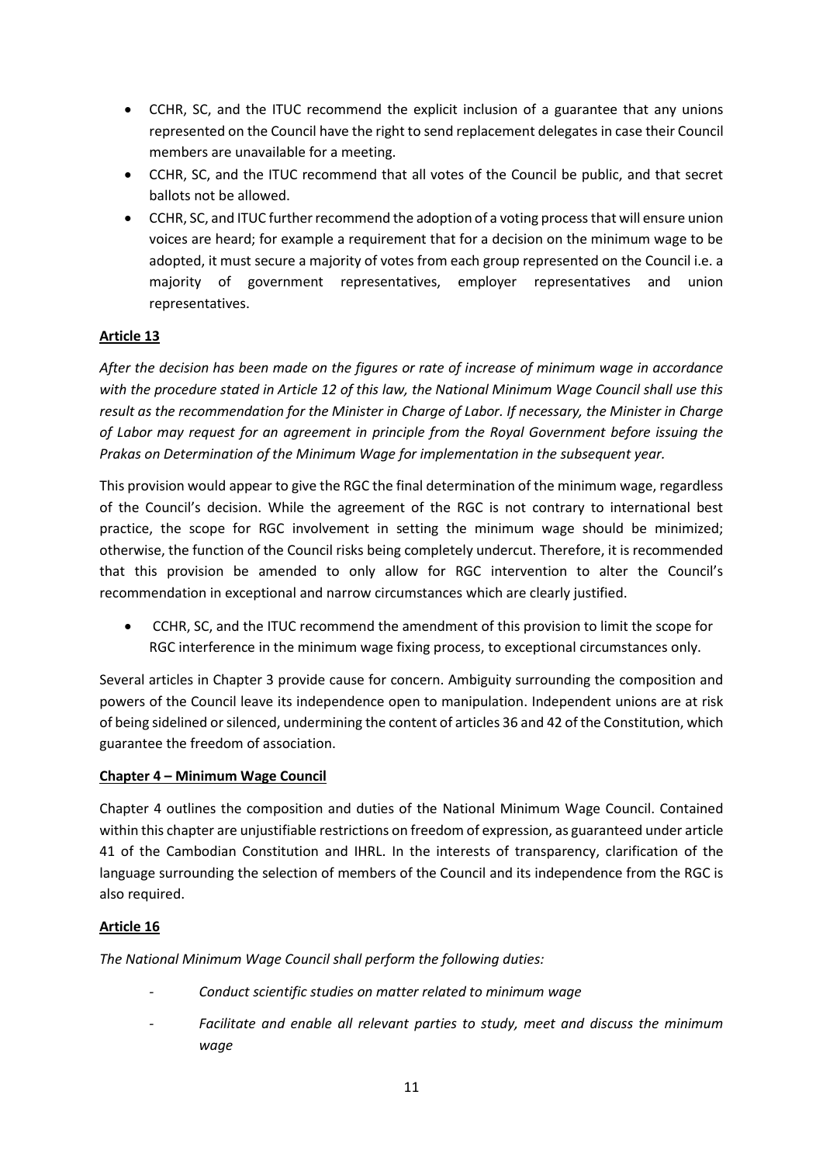- CCHR, SC, and the ITUC recommend the explicit inclusion of a guarantee that any unions represented on the Council have the right to send replacement delegates in case their Council members are unavailable for a meeting.
- CCHR, SC, and the ITUC recommend that all votes of the Council be public, and that secret ballots not be allowed.
- CCHR, SC, and ITUC further recommend the adoption of a voting processthat will ensure union voices are heard; for example a requirement that for a decision on the minimum wage to be adopted, it must secure a majority of votes from each group represented on the Council i.e. a majority of government representatives, employer representatives and union representatives.

*After the decision has been made on the figures or rate of increase of minimum wage in accordance with the procedure stated in Article 12 of this law, the National Minimum Wage Council shall use this result as the recommendation for the Minister in Charge of Labor. If necessary, the Minister in Charge of Labor may request for an agreement in principle from the Royal Government before issuing the Prakas on Determination of the Minimum Wage for implementation in the subsequent year.*

This provision would appear to give the RGC the final determination of the minimum wage, regardless of the Council's decision. While the agreement of the RGC is not contrary to international best practice, the scope for RGC involvement in setting the minimum wage should be minimized; otherwise, the function of the Council risks being completely undercut. Therefore, it is recommended that this provision be amended to only allow for RGC intervention to alter the Council's recommendation in exceptional and narrow circumstances which are clearly justified.

 CCHR, SC, and the ITUC recommend the amendment of this provision to limit the scope for RGC interference in the minimum wage fixing process, to exceptional circumstances only.

Several articles in Chapter 3 provide cause for concern. Ambiguity surrounding the composition and powers of the Council leave its independence open to manipulation. Independent unions are at risk of being sidelined or silenced, undermining the content of articles 36 and 42 of the Constitution, which guarantee the freedom of association.

## **Chapter 4 – Minimum Wage Council**

Chapter 4 outlines the composition and duties of the National Minimum Wage Council. Contained within this chapter are unjustifiable restrictions on freedom of expression, as guaranteed under article 41 of the Cambodian Constitution and IHRL. In the interests of transparency, clarification of the language surrounding the selection of members of the Council and its independence from the RGC is also required.

## **Article 16**

*The National Minimum Wage Council shall perform the following duties:*

- *- Conduct scientific studies on matter related to minimum wage*
- *- Facilitate and enable all relevant parties to study, meet and discuss the minimum wage*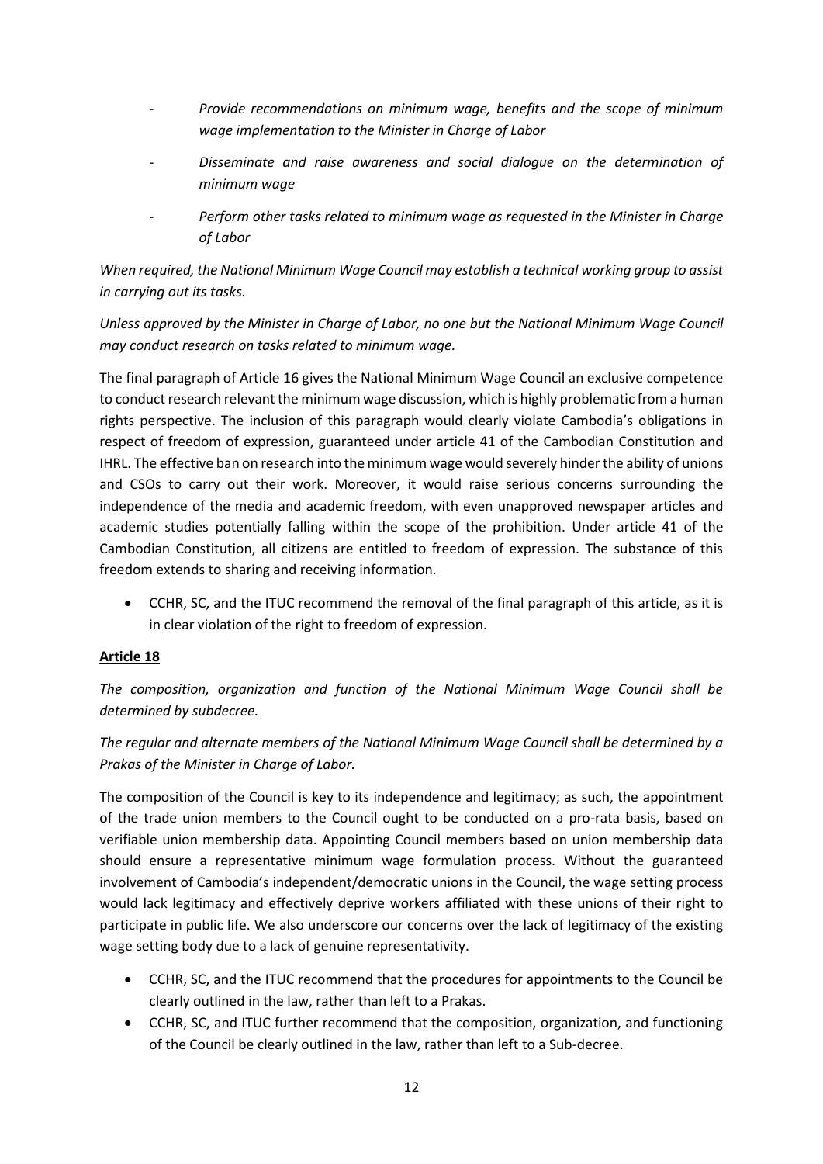- *- Provide recommendations on minimum wage, benefits and the scope of minimum wage implementation to the Minister in Charge of Labor*
- *- Disseminate and raise awareness and social dialogue on the determination of minimum wage*
- *- Perform other tasks related to minimum wage as requested in the Minister in Charge of Labor*

*When required, the National Minimum Wage Council may establish a technical working group to assist in carrying out its tasks.*

*Unless approved by the Minister in Charge of Labor, no one but the National Minimum Wage Council may conduct research on tasks related to minimum wage.*

The final paragraph of Article 16 gives the National Minimum Wage Council an exclusive competence to conduct research relevant the minimum wage discussion, which is highly problematic from a human rights perspective. The inclusion of this paragraph would clearly violate Cambodia's obligations in respect of freedom of expression, guaranteed under article 41 of the Cambodian Constitution and IHRL. The effective ban on research into the minimum wage would severely hinder the ability of unions and CSOs to carry out their work. Moreover, it would raise serious concerns surrounding the independence of the media and academic freedom, with even unapproved newspaper articles and academic studies potentially falling within the scope of the prohibition. Under article 41 of the Cambodian Constitution, all citizens are entitled to freedom of expression. The substance of this freedom extends to sharing and receiving information.

 CCHR, SC, and the ITUC recommend the removal of the final paragraph of this article, as it is in clear violation of the right to freedom of expression.

## **Article 18**

*The composition, organization and function of the National Minimum Wage Council shall be determined by subdecree.*

*The regular and alternate members of the National Minimum Wage Council shall be determined by a Prakas of the Minister in Charge of Labor.*

The composition of the Council is key to its independence and legitimacy; as such, the appointment of the trade union members to the Council ought to be conducted on a pro-rata basis, based on verifiable union membership data. Appointing Council members based on union membership data should ensure a representative minimum wage formulation process. Without the guaranteed involvement of Cambodia's independent/democratic unions in the Council, the wage setting process would lack legitimacy and effectively deprive workers affiliated with these unions of their right to participate in public life. We also underscore our concerns over the lack of legitimacy of the existing wage setting body due to a lack of genuine representativity.

- CCHR, SC, and the ITUC recommend that the procedures for appointments to the Council be clearly outlined in the law, rather than left to a Prakas.
- CCHR, SC, and ITUC further recommend that the composition, organization, and functioning of the Council be clearly outlined in the law, rather than left to a Sub-decree.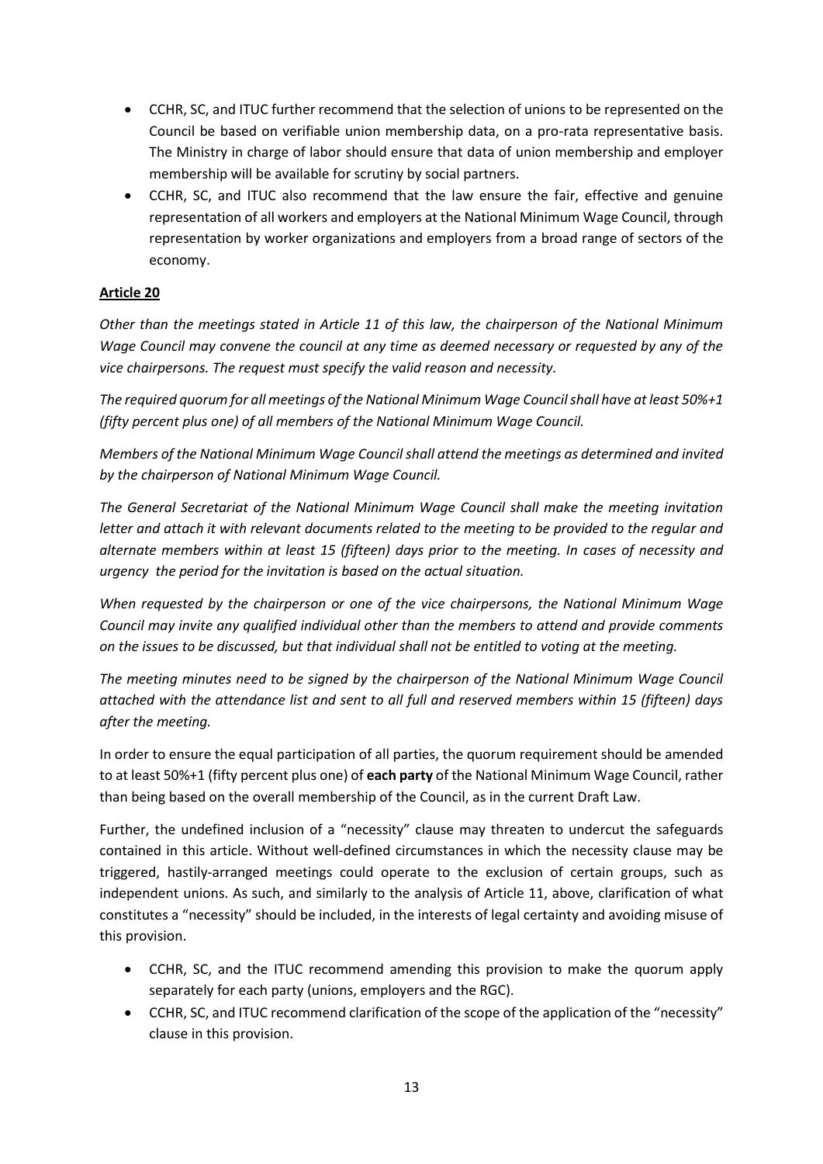- CCHR, SC, and ITUC further recommend that the selection of unions to be represented on the Council be based on verifiable union membership data, on a pro-rata representative basis. The Ministry in charge of labor should ensure that data of union membership and employer membership will be available for scrutiny by social partners.
- CCHR, SC, and ITUC also recommend that the law ensure the fair, effective and genuine representation of all workers and employers at the National Minimum Wage Council, through representation by worker organizations and employers from a broad range of sectors of the economy.

*Other than the meetings stated in Article 11 of this law, the chairperson of the National Minimum Wage Council may convene the council at any time as deemed necessary or requested by any of the vice chairpersons. The request must specify the valid reason and necessity.*

*The required quorum for all meetings of the National Minimum Wage Council shall have at least 50%+1 (fifty percent plus one) of all members of the National Minimum Wage Council.*

*Members of the National Minimum Wage Council shall attend the meetings as determined and invited by the chairperson of National Minimum Wage Council.*

*The General Secretariat of the National Minimum Wage Council shall make the meeting invitation letter and attach it with relevant documents related to the meeting to be provided to the regular and alternate members within at least 15 (fifteen) days prior to the meeting. In cases of necessity and urgency the period for the invitation is based on the actual situation.*

*When requested by the chairperson or one of the vice chairpersons, the National Minimum Wage Council may invite any qualified individual other than the members to attend and provide comments on the issues to be discussed, but that individual shall not be entitled to voting at the meeting.*

*The meeting minutes need to be signed by the chairperson of the National Minimum Wage Council attached with the attendance list and sent to all full and reserved members within 15 (fifteen) days after the meeting.*

In order to ensure the equal participation of all parties, the quorum requirement should be amended to at least 50%+1 (fifty percent plus one) of **each party** of the National Minimum Wage Council, rather than being based on the overall membership of the Council, as in the current Draft Law.

Further, the undefined inclusion of a "necessity" clause may threaten to undercut the safeguards contained in this article. Without well-defined circumstances in which the necessity clause may be triggered, hastily-arranged meetings could operate to the exclusion of certain groups, such as independent unions. As such, and similarly to the analysis of Article 11, above, clarification of what constitutes a "necessity" should be included, in the interests of legal certainty and avoiding misuse of this provision.

- CCHR, SC, and the ITUC recommend amending this provision to make the quorum apply separately for each party (unions, employers and the RGC).
- CCHR, SC, and ITUC recommend clarification of the scope of the application of the "necessity" clause in this provision.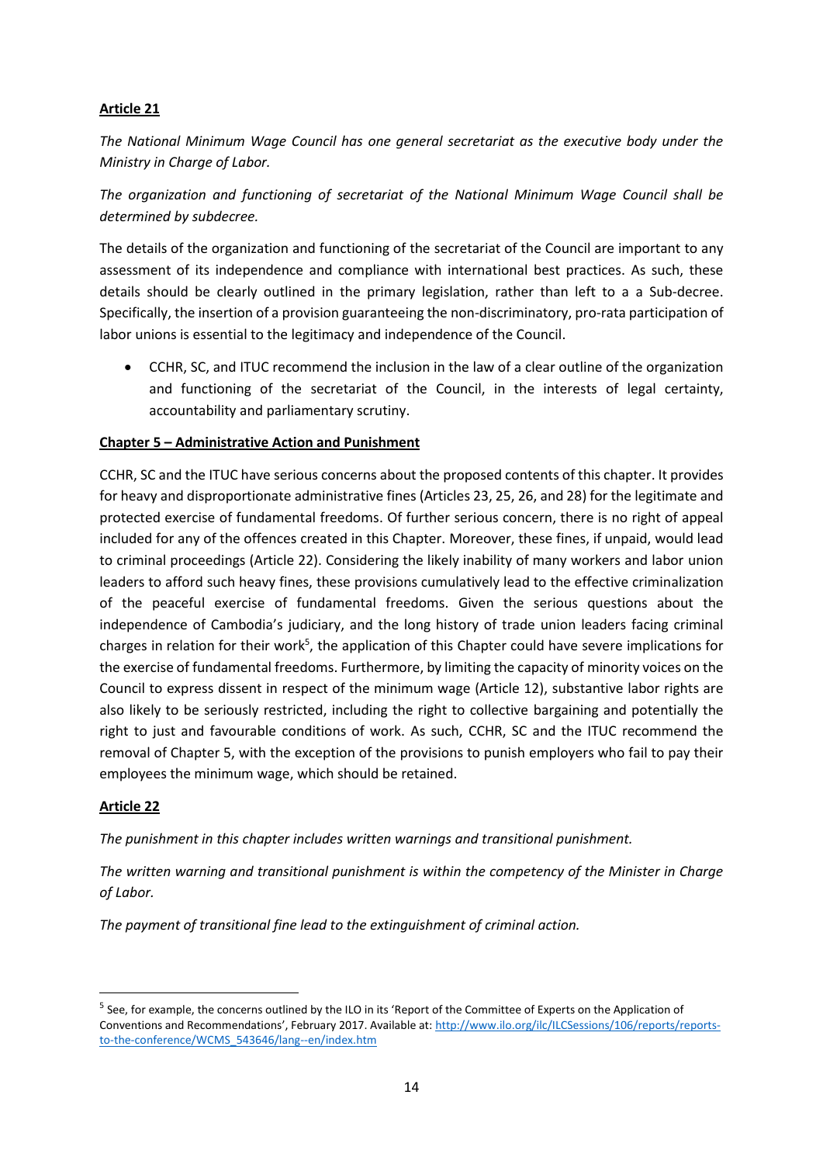*The National Minimum Wage Council has one general secretariat as the executive body under the Ministry in Charge of Labor.*

*The organization and functioning of secretariat of the National Minimum Wage Council shall be determined by subdecree.*

The details of the organization and functioning of the secretariat of the Council are important to any assessment of its independence and compliance with international best practices. As such, these details should be clearly outlined in the primary legislation, rather than left to a a Sub-decree. Specifically, the insertion of a provision guaranteeing the non-discriminatory, pro-rata participation of labor unions is essential to the legitimacy and independence of the Council.

 CCHR, SC, and ITUC recommend the inclusion in the law of a clear outline of the organization and functioning of the secretariat of the Council, in the interests of legal certainty, accountability and parliamentary scrutiny.

## **Chapter 5 – Administrative Action and Punishment**

CCHR, SC and the ITUC have serious concerns about the proposed contents of this chapter. It provides for heavy and disproportionate administrative fines (Articles 23, 25, 26, and 28) for the legitimate and protected exercise of fundamental freedoms. Of further serious concern, there is no right of appeal included for any of the offences created in this Chapter. Moreover, these fines, if unpaid, would lead to criminal proceedings (Article 22). Considering the likely inability of many workers and labor union leaders to afford such heavy fines, these provisions cumulatively lead to the effective criminalization of the peaceful exercise of fundamental freedoms. Given the serious questions about the independence of Cambodia's judiciary, and the long history of trade union leaders facing criminal charges in relation for their work<sup>5</sup>, the application of this Chapter could have severe implications for the exercise of fundamental freedoms. Furthermore, by limiting the capacity of minority voices on the Council to express dissent in respect of the minimum wage (Article 12), substantive labor rights are also likely to be seriously restricted, including the right to collective bargaining and potentially the right to just and favourable conditions of work. As such, CCHR, SC and the ITUC recommend the removal of Chapter 5, with the exception of the provisions to punish employers who fail to pay their employees the minimum wage, which should be retained.

## **Article 22**

 $\overline{a}$ 

*The punishment in this chapter includes written warnings and transitional punishment.*

*The written warning and transitional punishment is within the competency of the Minister in Charge of Labor.*

*The payment of transitional fine lead to the extinguishment of criminal action.*

<sup>&</sup>lt;sup>5</sup> See, for example, the concerns outlined by the ILO in its 'Report of the Committee of Experts on the Application of Conventions and Recommendations', February 2017. Available at: [http://www.ilo.org/ilc/ILCSessions/106/reports/reports](http://www.ilo.org/ilc/ILCSessions/106/reports/reports-to-the-conference/WCMS_543646/lang--en/index.htm)[to-the-conference/WCMS\\_543646/lang--en/index.htm](http://www.ilo.org/ilc/ILCSessions/106/reports/reports-to-the-conference/WCMS_543646/lang--en/index.htm)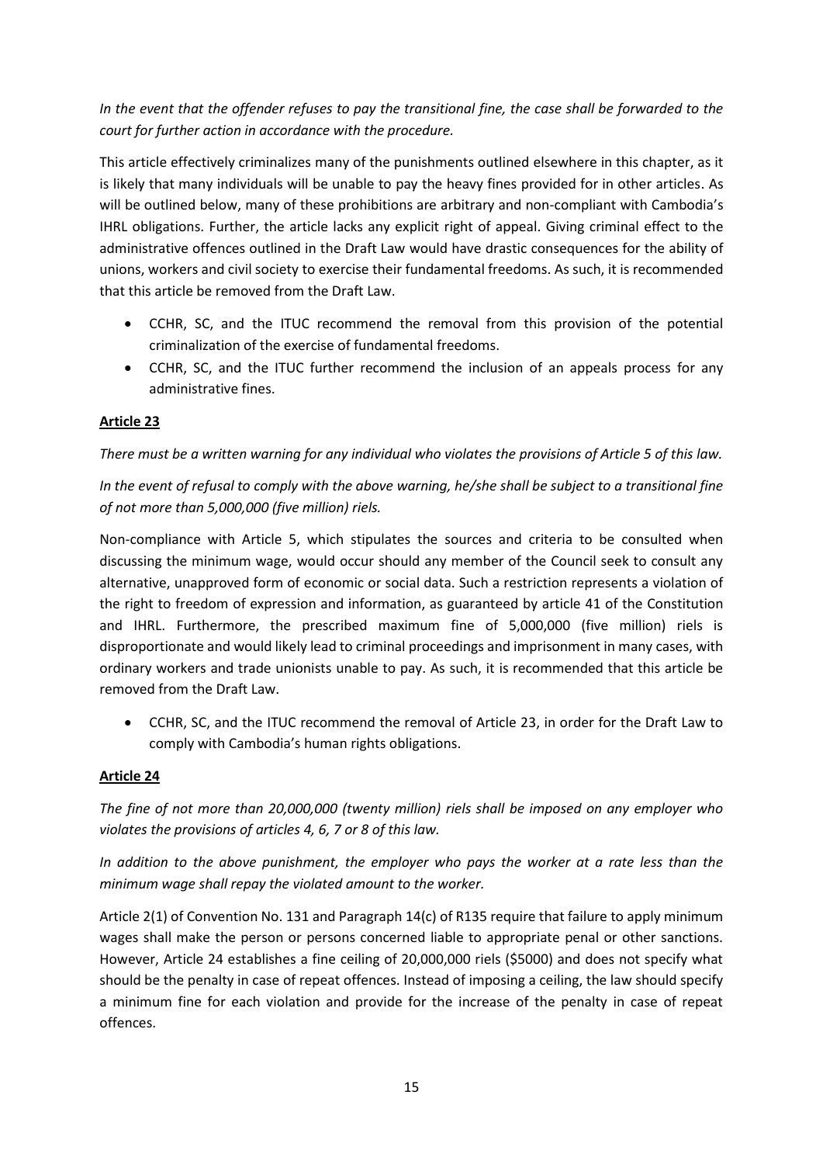*In the event that the offender refuses to pay the transitional fine, the case shall be forwarded to the court for further action in accordance with the procedure.*

This article effectively criminalizes many of the punishments outlined elsewhere in this chapter, as it is likely that many individuals will be unable to pay the heavy fines provided for in other articles. As will be outlined below, many of these prohibitions are arbitrary and non-compliant with Cambodia's IHRL obligations. Further, the article lacks any explicit right of appeal. Giving criminal effect to the administrative offences outlined in the Draft Law would have drastic consequences for the ability of unions, workers and civil society to exercise their fundamental freedoms. As such, it is recommended that this article be removed from the Draft Law.

- CCHR, SC, and the ITUC recommend the removal from this provision of the potential criminalization of the exercise of fundamental freedoms.
- CCHR, SC, and the ITUC further recommend the inclusion of an appeals process for any administrative fines.

## **Article 23**

*There must be a written warning for any individual who violates the provisions of Article 5 of this law.*

*In the event of refusal to comply with the above warning, he/she shall be subject to a transitional fine of not more than 5,000,000 (five million) riels.*

Non-compliance with Article 5, which stipulates the sources and criteria to be consulted when discussing the minimum wage, would occur should any member of the Council seek to consult any alternative, unapproved form of economic or social data. Such a restriction represents a violation of the right to freedom of expression and information, as guaranteed by article 41 of the Constitution and IHRL. Furthermore, the prescribed maximum fine of 5,000,000 (five million) riels is disproportionate and would likely lead to criminal proceedings and imprisonment in many cases, with ordinary workers and trade unionists unable to pay. As such, it is recommended that this article be removed from the Draft Law.

 CCHR, SC, and the ITUC recommend the removal of Article 23, in order for the Draft Law to comply with Cambodia's human rights obligations.

## **Article 24**

*The fine of not more than 20,000,000 (twenty million) riels shall be imposed on any employer who violates the provisions of articles 4, 6, 7 or 8 of this law.*

*In addition to the above punishment, the employer who pays the worker at a rate less than the minimum wage shall repay the violated amount to the worker.*

Article 2(1) of Convention No. 131 and Paragraph 14(c) of R135 require that failure to apply minimum wages shall make the person or persons concerned liable to appropriate penal or other sanctions. However, Article 24 establishes a fine ceiling of 20,000,000 riels (\$5000) and does not specify what should be the penalty in case of repeat offences. Instead of imposing a ceiling, the law should specify a minimum fine for each violation and provide for the increase of the penalty in case of repeat offences.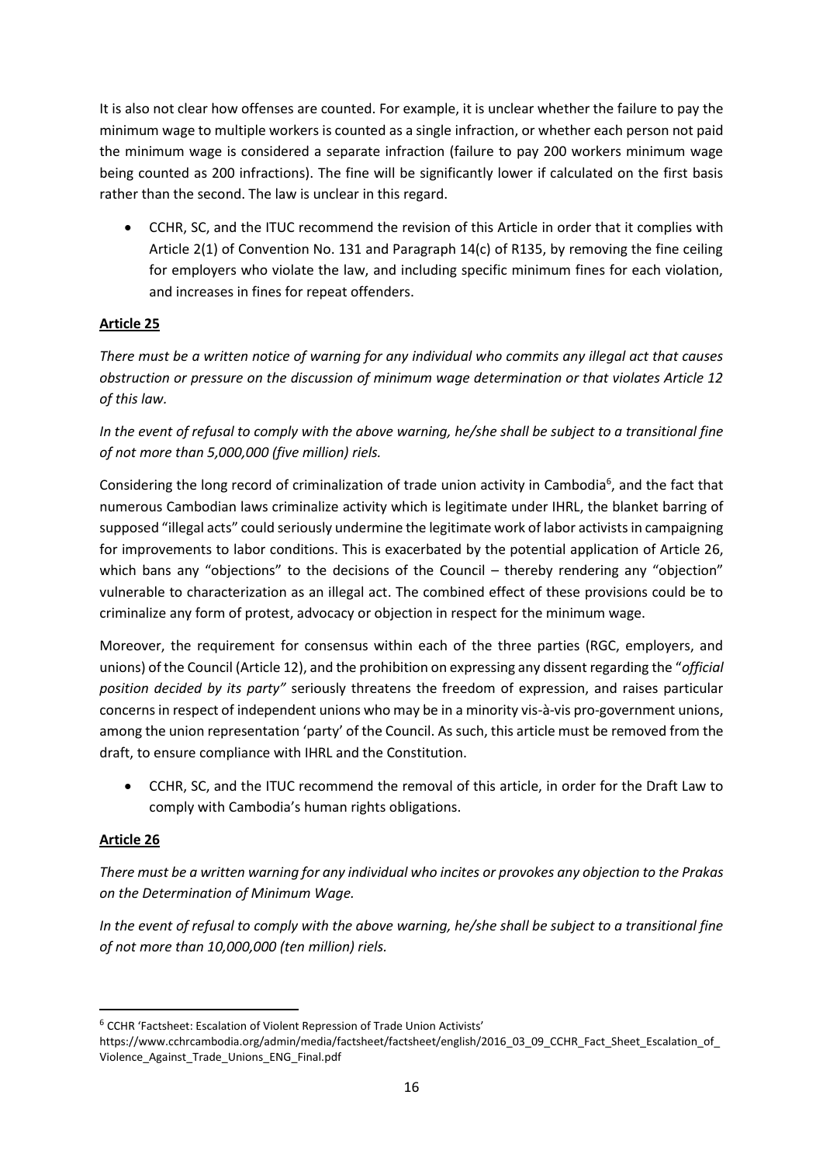It is also not clear how offenses are counted. For example, it is unclear whether the failure to pay the minimum wage to multiple workers is counted as a single infraction, or whether each person not paid the minimum wage is considered a separate infraction (failure to pay 200 workers minimum wage being counted as 200 infractions). The fine will be significantly lower if calculated on the first basis rather than the second. The law is unclear in this regard.

 CCHR, SC, and the ITUC recommend the revision of this Article in order that it complies with Article 2(1) of Convention No. 131 and Paragraph 14(c) of R135, by removing the fine ceiling for employers who violate the law, and including specific minimum fines for each violation, and increases in fines for repeat offenders.

## **Article 25**

*There must be a written notice of warning for any individual who commits any illegal act that causes obstruction or pressure on the discussion of minimum wage determination or that violates Article 12 of this law.*

*In the event of refusal to comply with the above warning, he/she shall be subject to a transitional fine of not more than 5,000,000 (five million) riels.*

Considering the long record of criminalization of trade union activity in Cambodia<sup>6</sup>, and the fact that numerous Cambodian laws criminalize activity which is legitimate under IHRL, the blanket barring of supposed "illegal acts" could seriously undermine the legitimate work of labor activists in campaigning for improvements to labor conditions. This is exacerbated by the potential application of Article 26, which bans any "objections" to the decisions of the Council – thereby rendering any "objection" vulnerable to characterization as an illegal act. The combined effect of these provisions could be to criminalize any form of protest, advocacy or objection in respect for the minimum wage.

Moreover, the requirement for consensus within each of the three parties (RGC, employers, and unions) of the Council (Article 12), and the prohibition on expressing any dissent regarding the "*official position decided by its party"* seriously threatens the freedom of expression, and raises particular concerns in respect of independent unions who may be in a minority vis-à-vis pro-government unions, among the union representation 'party' of the Council. As such, this article must be removed from the draft, to ensure compliance with IHRL and the Constitution.

 CCHR, SC, and the ITUC recommend the removal of this article, in order for the Draft Law to comply with Cambodia's human rights obligations.

## **Article 26**

1

*There must be a written warning for any individual who incites or provokes any objection to the Prakas on the Determination of Minimum Wage.*

*In the event of refusal to comply with the above warning, he/she shall be subject to a transitional fine of not more than 10,000,000 (ten million) riels.*

<sup>6</sup> CCHR 'Factsheet: Escalation of Violent Repression of Trade Union Activists'

https://www.cchrcambodia.org/admin/media/factsheet/factsheet/english/2016\_03\_09\_CCHR\_Fact\_Sheet\_Escalation\_of Violence\_Against\_Trade\_Unions\_ENG\_Final.pdf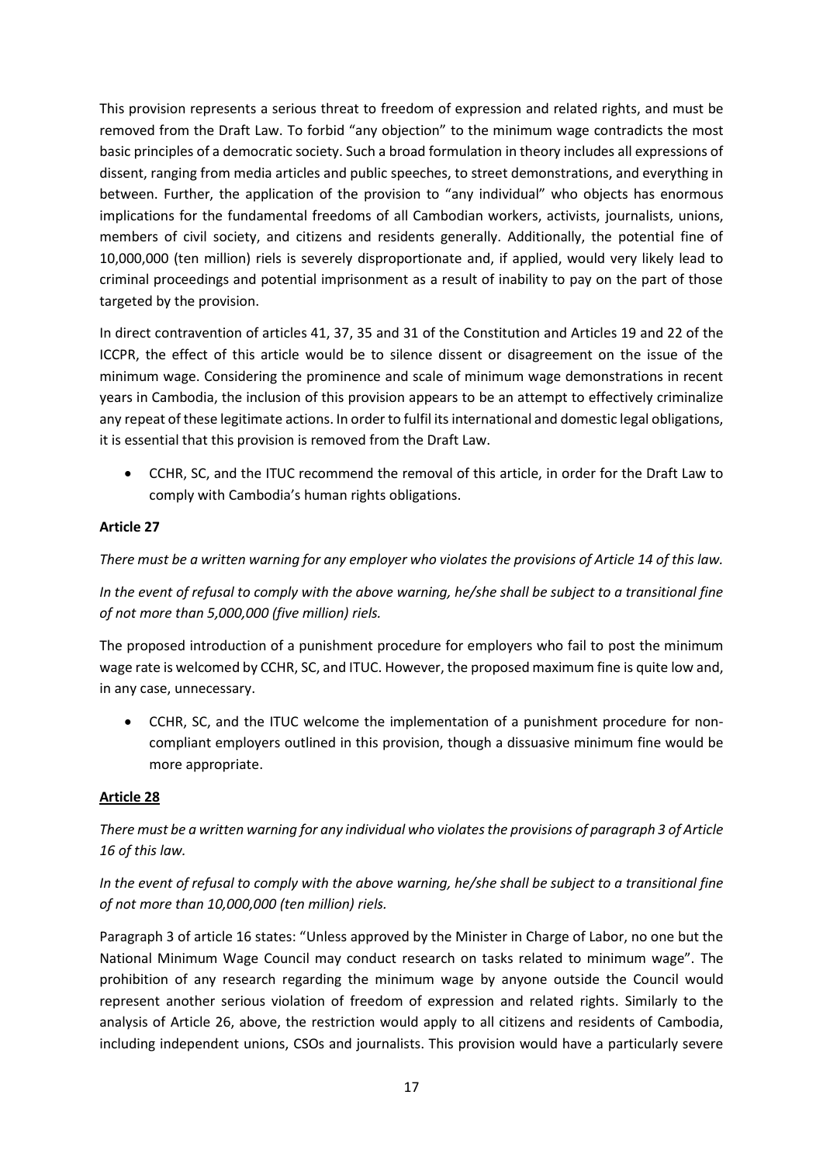This provision represents a serious threat to freedom of expression and related rights, and must be removed from the Draft Law. To forbid "any objection" to the minimum wage contradicts the most basic principles of a democratic society. Such a broad formulation in theory includes all expressions of dissent, ranging from media articles and public speeches, to street demonstrations, and everything in between. Further, the application of the provision to "any individual" who objects has enormous implications for the fundamental freedoms of all Cambodian workers, activists, journalists, unions, members of civil society, and citizens and residents generally. Additionally, the potential fine of 10,000,000 (ten million) riels is severely disproportionate and, if applied, would very likely lead to criminal proceedings and potential imprisonment as a result of inability to pay on the part of those targeted by the provision.

In direct contravention of articles 41, 37, 35 and 31 of the Constitution and Articles 19 and 22 of the ICCPR, the effect of this article would be to silence dissent or disagreement on the issue of the minimum wage. Considering the prominence and scale of minimum wage demonstrations in recent years in Cambodia, the inclusion of this provision appears to be an attempt to effectively criminalize any repeat of these legitimate actions. In order to fulfil its international and domestic legal obligations, it is essential that this provision is removed from the Draft Law.

 CCHR, SC, and the ITUC recommend the removal of this article, in order for the Draft Law to comply with Cambodia's human rights obligations.

## **Article 27**

*There must be a written warning for any employer who violates the provisions of Article 14 of this law.*

*In the event of refusal to comply with the above warning, he/she shall be subject to a transitional fine of not more than 5,000,000 (five million) riels.*

The proposed introduction of a punishment procedure for employers who fail to post the minimum wage rate is welcomed by CCHR, SC, and ITUC. However, the proposed maximum fine is quite low and, in any case, unnecessary.

 CCHR, SC, and the ITUC welcome the implementation of a punishment procedure for noncompliant employers outlined in this provision, though a dissuasive minimum fine would be more appropriate.

## **Article 28**

*There must be a written warning for any individual who violates the provisions of paragraph 3 of Article 16 of this law.*

## *In the event of refusal to comply with the above warning, he/she shall be subject to a transitional fine of not more than 10,000,000 (ten million) riels.*

Paragraph 3 of article 16 states: "Unless approved by the Minister in Charge of Labor, no one but the National Minimum Wage Council may conduct research on tasks related to minimum wage". The prohibition of any research regarding the minimum wage by anyone outside the Council would represent another serious violation of freedom of expression and related rights. Similarly to the analysis of Article 26, above, the restriction would apply to all citizens and residents of Cambodia, including independent unions, CSOs and journalists. This provision would have a particularly severe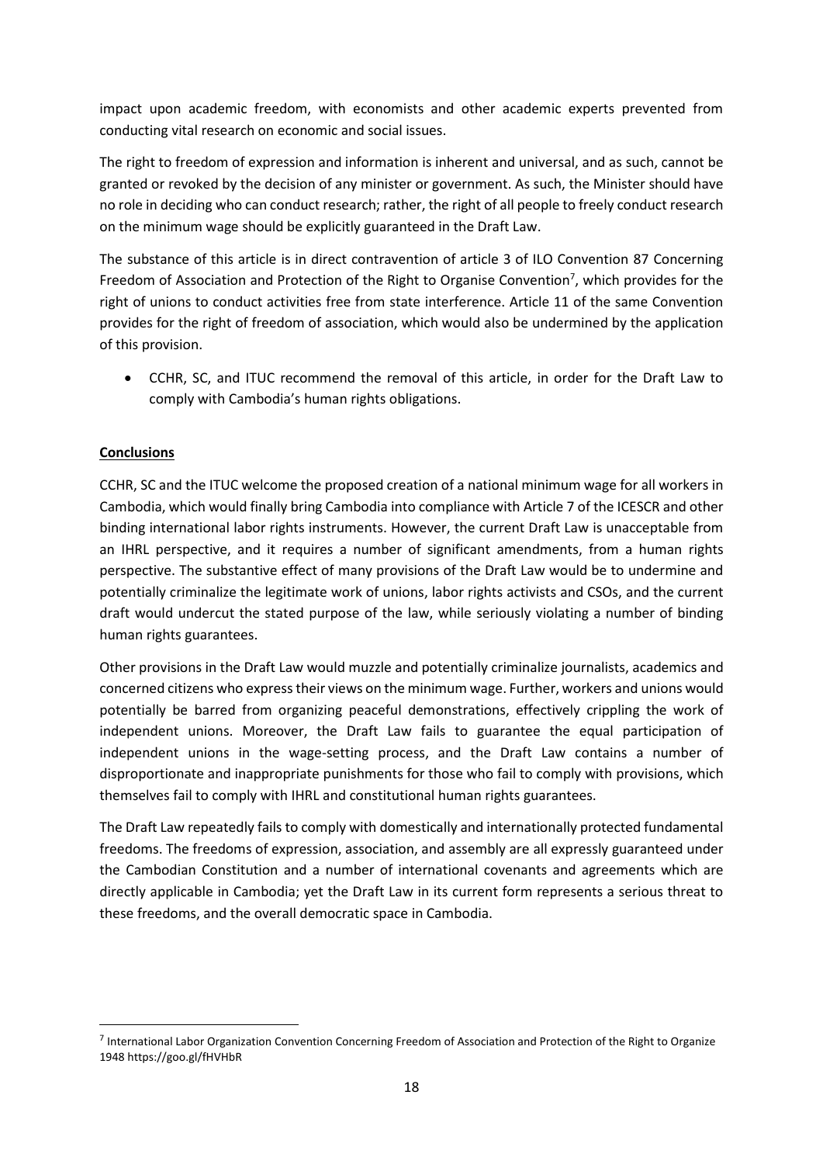impact upon academic freedom, with economists and other academic experts prevented from conducting vital research on economic and social issues.

The right to freedom of expression and information is inherent and universal, and as such, cannot be granted or revoked by the decision of any minister or government. As such, the Minister should have no role in deciding who can conduct research; rather, the right of all people to freely conduct research on the minimum wage should be explicitly guaranteed in the Draft Law.

The substance of this article is in direct contravention of article 3 of ILO Convention 87 Concerning Freedom of Association and Protection of the Right to Organise Convention<sup>7</sup>, which provides for the right of unions to conduct activities free from state interference. Article 11 of the same Convention provides for the right of freedom of association, which would also be undermined by the application of this provision.

 CCHR, SC, and ITUC recommend the removal of this article, in order for the Draft Law to comply with Cambodia's human rights obligations.

## **Conclusions**

**.** 

CCHR, SC and the ITUC welcome the proposed creation of a national minimum wage for all workers in Cambodia, which would finally bring Cambodia into compliance with Article 7 of the ICESCR and other binding international labor rights instruments. However, the current Draft Law is unacceptable from an IHRL perspective, and it requires a number of significant amendments, from a human rights perspective. The substantive effect of many provisions of the Draft Law would be to undermine and potentially criminalize the legitimate work of unions, labor rights activists and CSOs, and the current draft would undercut the stated purpose of the law, while seriously violating a number of binding human rights guarantees.

Other provisions in the Draft Law would muzzle and potentially criminalize journalists, academics and concerned citizens who express their views on the minimum wage. Further, workers and unions would potentially be barred from organizing peaceful demonstrations, effectively crippling the work of independent unions. Moreover, the Draft Law fails to guarantee the equal participation of independent unions in the wage-setting process, and the Draft Law contains a number of disproportionate and inappropriate punishments for those who fail to comply with provisions, which themselves fail to comply with IHRL and constitutional human rights guarantees.

The Draft Law repeatedly fails to comply with domestically and internationally protected fundamental freedoms. The freedoms of expression, association, and assembly are all expressly guaranteed under the Cambodian Constitution and a number of international covenants and agreements which are directly applicable in Cambodia; yet the Draft Law in its current form represents a serious threat to these freedoms, and the overall democratic space in Cambodia.

<sup>&</sup>lt;sup>7</sup> International Labor Organization Convention Concerning Freedom of Association and Protection of the Right to Organize 1948 <https://goo.gl/fHVHbR>